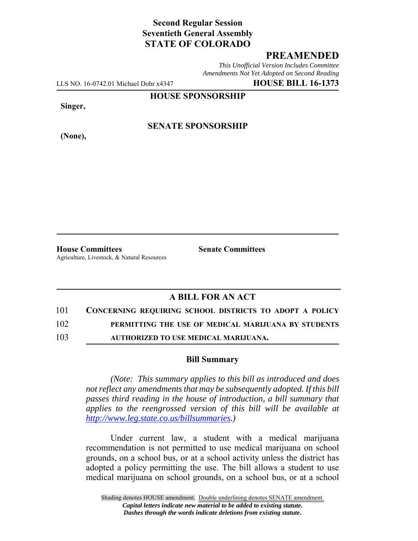# **Second Regular Session Seventieth General Assembly STATE OF COLORADO**

#### **PREAMENDED**

*This Unofficial Version Includes Committee Amendments Not Yet Adopted on Second Reading*

LLS NO. 16-0742.01 Michael Dohr x4347 **HOUSE BILL 16-1373**

**HOUSE SPONSORSHIP**

**Singer,**

**(None),**

**SENATE SPONSORSHIP**

**House Committees Senate Committees** Agriculture, Livestock, & Natural Resources

# **A BILL FOR AN ACT**

101 **CONCERNING REQUIRING SCHOOL DISTRICTS TO ADOPT A POLICY**

102 **PERMITTING THE USE OF MEDICAL MARIJUANA BY STUDENTS**

103 **AUTHORIZED TO USE MEDICAL MARIJUANA.**

#### **Bill Summary**

*(Note: This summary applies to this bill as introduced and does not reflect any amendments that may be subsequently adopted. If this bill passes third reading in the house of introduction, a bill summary that applies to the reengrossed version of this bill will be available at http://www.leg.state.co.us/billsummaries.)*

Under current law, a student with a medical marijuana recommendation is not permitted to use medical marijuana on school grounds, on a school bus, or at a school activity unless the district has adopted a policy permitting the use. The bill allows a student to use medical marijuana on school grounds, on a school bus, or at a school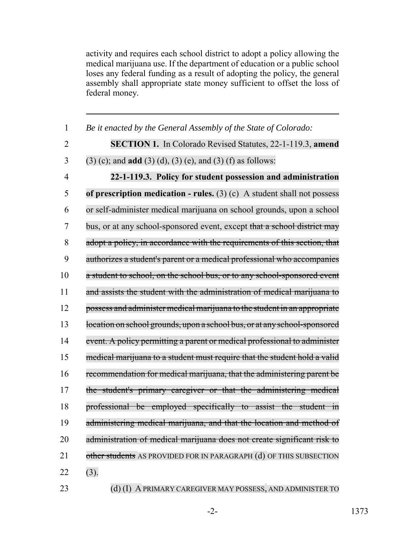activity and requires each school district to adopt a policy allowing the medical marijuana use. If the department of education or a public school loses any federal funding as a result of adopting the policy, the general assembly shall appropriate state money sufficient to offset the loss of federal money.

| $\mathbf{1}$   | Be it enacted by the General Assembly of the State of Colorado:           |
|----------------|---------------------------------------------------------------------------|
| $\overline{2}$ | <b>SECTION 1.</b> In Colorado Revised Statutes, 22-1-119.3, amend         |
| 3              | $(3)$ (c); and <b>add</b> $(3)$ (d), $(3)$ (e), and $(3)$ (f) as follows: |
| $\overline{4}$ | 22-1-119.3. Policy for student possession and administration              |
| 5              | of prescription medication - rules. $(3)$ (c) A student shall not possess |
| 6              | or self-administer medical marijuana on school grounds, upon a school     |
| 7              | bus, or at any school-sponsored event, except that a school district may  |
| 8              | adopt a policy, in accordance with the requirements of this section, that |
| 9              | authorizes a student's parent or a medical professional who accompanies   |
| 10             | a student to school, on the school bus, or to any school-sponsored event  |
| 11             | and assists the student with the administration of medical marijuana to   |
| 12             | possess and administer medical marijuana to the student in an appropriate |
| 13             | location on school grounds, upon a school bus, or at any school-sponsored |
| 14             | event. A policy permitting a parent or medical professional to administer |
| 15             | medical marijuana to a student must require that the student hold a valid |
| 16             | recommendation for medical marijuana, that the administering parent be    |
| 17             | the student's primary caregiver or that the administering medical         |
| 18             | professional be employed specifically to assist the student in            |
| 19             | administering medical marijuana, and that the location and method of      |
| 20             | administration of medical marijuana does not create significant risk to   |
| 21             | other students AS PROVIDED FOR IN PARAGRAPH (d) OF THIS SUBSECTION        |
| 22             | (3).                                                                      |
|                |                                                                           |

# 23 (d) (I) A PRIMARY CAREGIVER MAY POSSESS, AND ADMINISTER TO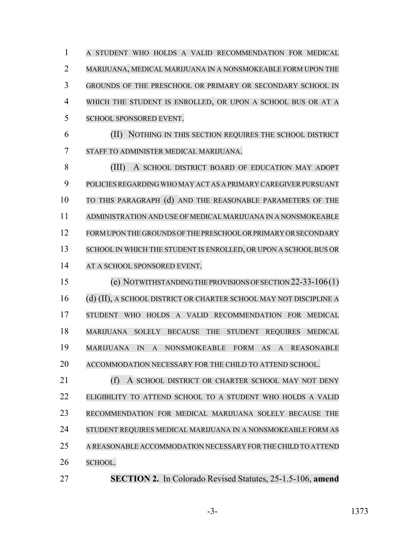A STUDENT WHO HOLDS A VALID RECOMMENDATION FOR MEDICAL MARIJUANA, MEDICAL MARIJUANA IN A NONSMOKEABLE FORM UPON THE GROUNDS OF THE PRESCHOOL OR PRIMARY OR SECONDARY SCHOOL IN WHICH THE STUDENT IS ENROLLED, OR UPON A SCHOOL BUS OR AT A SCHOOL SPONSORED EVENT. (II) NOTHING IN THIS SECTION REQUIRES THE SCHOOL DISTRICT STAFF TO ADMINISTER MEDICAL MARIJUANA. (III) A SCHOOL DISTRICT BOARD OF EDUCATION MAY ADOPT 9 POLICIES REGARDING WHO MAY ACT AS A PRIMARY CAREGIVER PURSUANT TO THIS PARAGRAPH (d) AND THE REASONABLE PARAMETERS OF THE ADMINISTRATION AND USE OF MEDICAL MARIJUANA IN A NONSMOKEABLE FORMUPON THE GROUNDS OF THE PRESCHOOL OR PRIMARY OR SECONDARY 13 SCHOOL IN WHICH THE STUDENT IS ENROLLED, OR UPON A SCHOOL BUS OR

14 AT A SCHOOL SPONSORED EVENT.

 (e) NOTWITHSTANDINGTHE PROVISIONS OF SECTION 22-33-106(1) (d) (II), A SCHOOL DISTRICT OR CHARTER SCHOOL MAY NOT DISCIPLINE A STUDENT WHO HOLDS A VALID RECOMMENDATION FOR MEDICAL MARIJUANA SOLELY BECAUSE THE STUDENT REQUIRES MEDICAL MARIJUANA IN A NONSMOKEABLE FORM AS A REASONABLE ACCOMMODATION NECESSARY FOR THE CHILD TO ATTEND SCHOOL.

21 (f) A SCHOOL DISTRICT OR CHARTER SCHOOL MAY NOT DENY ELIGIBILITY TO ATTEND SCHOOL TO A STUDENT WHO HOLDS A VALID RECOMMENDATION FOR MEDICAL MARIJUANA SOLELY BECAUSE THE STUDENT REQUIRES MEDICAL MARIJUANA IN A NONSMOKEABLE FORM AS A REASONABLE ACCOMMODATION NECESSARY FOR THE CHILD TO ATTEND SCHOOL.

**SECTION 2.** In Colorado Revised Statutes, 25-1.5-106, **amend**